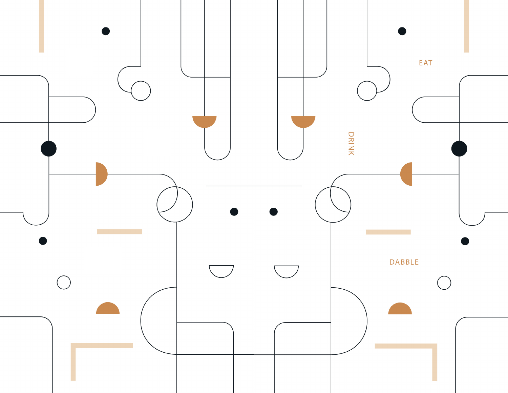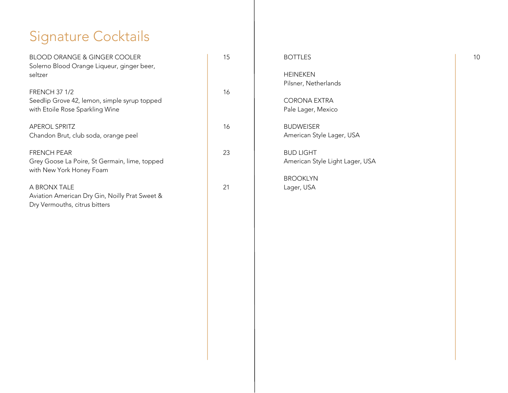## Signature Cocktails

| <b>BLOOD ORANGE &amp; GINGER COOLER</b><br>Solerno Blood Orange Liqueur, ginger beer,<br>seltzer        | 15 | <b>BOTTLES</b><br><b>HEINEKEN</b><br>Pilsner, Netherlands              |
|---------------------------------------------------------------------------------------------------------|----|------------------------------------------------------------------------|
| <b>FRENCH 37 1/2</b><br>Seedlip Grove 42, lemon, simple syrup topped<br>with Etoile Rose Sparkling Wine | 16 | <b>CORONA EXTRA</b><br>Pale Lager, Mexico                              |
| <b>APEROL SPRITZ</b><br>Chandon Brut, club soda, orange peel                                            | 16 | <b>BUDWEISER</b><br>American Style Lager, USA                          |
| <b>FRENCH PEAR</b><br>Grey Goose La Poire, St Germain, lime, topped<br>with New York Honey Foam         | 23 | <b>BUD LIGHT</b><br>American Style Light Lager, USA<br><b>BROOKLYN</b> |
| A BRONX TALE<br>Aviation American Dry Gin, Noilly Prat Sweet &<br>Dry Vermouths, citrus bitters         | 21 | Lager, USA                                                             |
|                                                                                                         |    |                                                                        |
|                                                                                                         |    |                                                                        |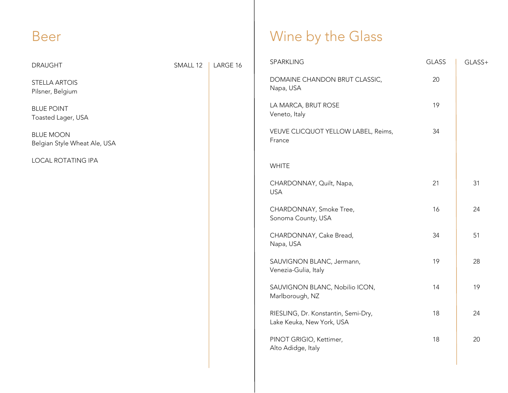## Beer

| <b>DRAUGHT</b>                                   | SMALL 12 | LARGE 16 | SPARKLING                                                        | <b>GLASS</b> | GLASS+ |
|--------------------------------------------------|----------|----------|------------------------------------------------------------------|--------------|--------|
| <b>STELLA ARTOIS</b><br>Pilsner, Belgium         |          |          | DOMAINE CHANDON BRUT CLASSIC,<br>Napa, USA                       | 20           |        |
| <b>BLUE POINT</b><br>Toasted Lager, USA          |          |          | LA MARCA, BRUT ROSE<br>Veneto, Italy                             | 19           |        |
| <b>BLUE MOON</b><br>Belgian Style Wheat Ale, USA |          |          | VEUVE CLICQUOT YELLOW LABEL, Reims,<br>France                    | 34           |        |
| LOCAL ROTATING IPA                               |          |          | <b>WHITE</b>                                                     |              |        |
|                                                  |          |          | CHARDONNAY, Quilt, Napa,<br><b>USA</b>                           | 21           | 31     |
|                                                  |          |          | CHARDONNAY, Smoke Tree,<br>Sonoma County, USA                    | 16           | 24     |
|                                                  |          |          | CHARDONNAY, Cake Bread,<br>Napa, USA                             | 34           | 51     |
|                                                  |          |          | SAUVIGNON BLANC, Jermann,<br>Venezia-Gulia, Italy                | 19           | 28     |
|                                                  |          |          | SAUVIGNON BLANC, Nobilio ICON,<br>Marlborough, NZ                | 14           | 19     |
|                                                  |          |          | RIESLING, Dr. Konstantin, Semi-Dry,<br>Lake Keuka, New York, USA | 18           | 24     |
|                                                  |          |          | PINOT GRIGIO, Kettimer,<br>Alto Adidge, Italy                    | 18           | 20     |
|                                                  |          |          |                                                                  |              |        |

Wine by the Glass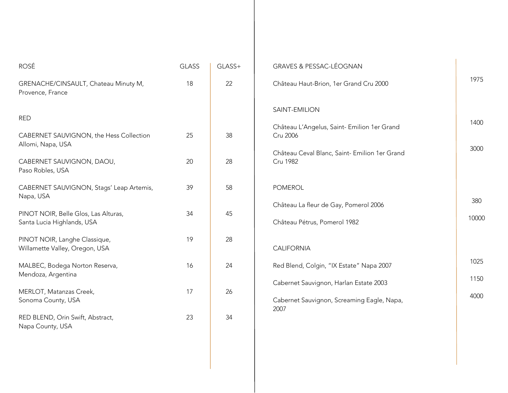| <b>ROSÉ</b>                                                                                             | <b>GLASS</b> | GLASS+   | <b>GRAVES &amp; PESSAC-LÉOGNAN</b>                                                                                                           |              |
|---------------------------------------------------------------------------------------------------------|--------------|----------|----------------------------------------------------------------------------------------------------------------------------------------------|--------------|
| GRENACHE/CINSAULT, Chateau Minuty M,<br>Provence, France                                                | 18           | 22       | Château Haut-Brion, 1er Grand Cru 2000                                                                                                       | 1975         |
| <b>RED</b><br>CABERNET SAUVIGNON, the Hess Collection<br>Allomi, Napa, USA<br>CABERNET SAUVIGNON, DAOU, | 25<br>20     | 38<br>28 | SAINT-EMILION<br>Château L'Angelus, Saint- Emilion 1er Grand<br>Cru 2006<br>Château Ceval Blanc, Saint- Emilion 1er Grand<br><b>Cru 1982</b> | 1400<br>3000 |
| Paso Robles, USA<br>CABERNET SAUVIGNON, Stags' Leap Artemis,<br>Napa, USA                               | 39           | 58       | <b>POMEROL</b>                                                                                                                               |              |
| PINOT NOIR, Belle Glos, Las Alturas,<br>Santa Lucia Highlands, USA                                      | 34           | 45       | Château La fleur de Gay, Pomerol 2006<br>Château Pétrus, Pomerol 1982                                                                        | 380<br>10000 |
| PINOT NOIR, Langhe Classique,<br>Willamette Valley, Oregon, USA                                         | 19           | 28       | <b>CALIFORNIA</b>                                                                                                                            |              |
| MALBEC, Bodega Norton Reserva,<br>Mendoza, Argentina                                                    | 16           | 24       | Red Blend, Colgin, "IX Estate" Napa 2007                                                                                                     | 1025<br>1150 |
| MERLOT, Matanzas Creek,<br>Sonoma County, USA                                                           | 17           | 26       | Cabernet Sauvignon, Harlan Estate 2003<br>Cabernet Sauvignon, Screaming Eagle, Napa,<br>2007                                                 | 4000         |
| RED BLEND, Orin Swift, Abstract,<br>Napa County, USA                                                    | 23           | 34       |                                                                                                                                              |              |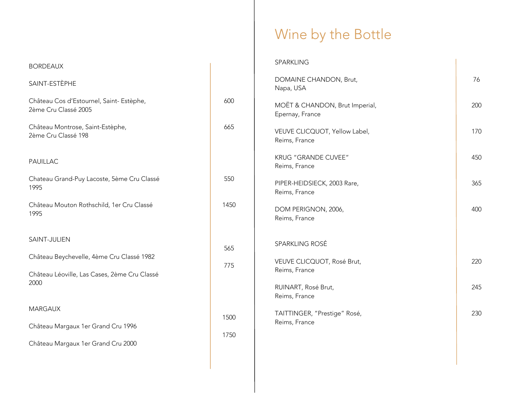## Wine by the Bottle

| <b>BORDEAUX</b>                                                                           |      | SPARKLING                                         |     |
|-------------------------------------------------------------------------------------------|------|---------------------------------------------------|-----|
| SAINT-ESTÈPHE                                                                             |      | DOMAINE CHANDON, Brut,<br>Napa, USA               | 76  |
| Château Cos d'Estournel, Saint-Estèphe,<br>2ème Cru Classé 2005                           | 600  | MOËT & CHANDON, Brut Imperial,<br>Epernay, France | 200 |
| Château Montrose, Saint-Estèphe,<br>2ème Cru Classé 198                                   | 665  | VEUVE CLICQUOT, Yellow Label,<br>Reims, France    | 170 |
| PAUILLAC                                                                                  |      | KRUG "GRANDE CUVEE"<br>Reims, France              | 450 |
| Chateau Grand-Puy Lacoste, 5ème Cru Classé<br>1995                                        | 550  | PIPER-HEIDSIECK, 2003 Rare,<br>Reims, France      | 365 |
| Château Mouton Rothschild, 1er Cru Classé<br>1995                                         | 1450 | DOM PERIGNON, 2006,<br>Reims, France              | 400 |
| SAINT-JULIEN                                                                              | 565  | SPARKLING ROSÉ                                    |     |
| Château Beychevelle, 4ème Cru Classé 1982<br>Château Léoville, Las Cases, 2ème Cru Classé | 775  | VEUVE CLICQUOT, Rosé Brut,<br>Reims, France       | 220 |
| 2000                                                                                      |      | RUINART, Rosé Brut,<br>Reims, France              | 245 |
| <b>MARGAUX</b>                                                                            | 1500 | TAITTINGER, "Prestige" Rosé,                      | 230 |
| Château Margaux 1er Grand Cru 1996                                                        | 1750 | Reims, France                                     |     |
| Château Margaux 1er Grand Cru 2000                                                        |      |                                                   |     |
|                                                                                           |      |                                                   |     |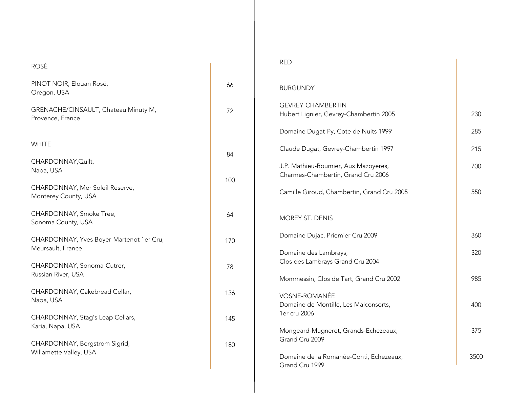| <b>ROSÉ</b>                                              |     | <b>RED</b>                                                         |      |
|----------------------------------------------------------|-----|--------------------------------------------------------------------|------|
| PINOT NOIR, Elouan Rosé,<br>Oregon, USA                  | 66  | <b>BURGUNDY</b>                                                    |      |
| GRENACHE/CINSAULT, Chateau Minuty M,<br>Provence, France | 72  | <b>GEVREY-CHAMBERTIN</b><br>Hubert Lignier, Gevrey-Chambertin 2005 | 230  |
|                                                          |     | Domaine Dugat-Py, Cote de Nuits 1999                               | 285  |
| <b>WHITE</b>                                             |     | Claude Dugat, Gevrey-Chambertin 1997                               | 215  |
| CHARDONNAY, Quilt,                                       | 84  | J.P. Mathieu-Roumier, Aux Mazoyeres,                               | 700  |
| Napa, USA                                                | 100 | Charmes-Chambertin, Grand Cru 2006                                 |      |
| CHARDONNAY, Mer Soleil Reserve,<br>Monterey County, USA  |     | Camille Giroud, Chambertin, Grand Cru 2005                         | 550  |
| CHARDONNAY, Smoke Tree,<br>Sonoma County, USA            | 64  | MOREY ST. DENIS                                                    |      |
| CHARDONNAY, Yves Boyer-Martenot 1er Cru,                 | 170 | Domaine Dujac, Priemier Cru 2009                                   | 360  |
| Meursault, France                                        |     | Domaine des Lambrays,                                              | 320  |
| CHARDONNAY, Sonoma-Cutrer,                               | 78  | Clos des Lambrays Grand Cru 2004                                   |      |
| Russian River, USA                                       |     | Mommessin, Clos de Tart, Grand Cru 2002                            | 985  |
| CHARDONNAY, Cakebread Cellar,<br>Napa, USA               | 136 | <b>VOSNE-ROMANÉE</b>                                               |      |
|                                                          |     | Domaine de Montille, Les Malconsorts,<br>1er cru 2006              | 400  |
| CHARDONNAY, Stag's Leap Cellars,<br>Karia, Napa, USA     | 145 |                                                                    |      |
|                                                          |     | Mongeard-Mugneret, Grands-Echezeaux,<br>Grand Cru 2009             | 375  |
| CHARDONNAY, Bergstrom Sigrid,<br>Willamette Valley, USA  | 180 |                                                                    |      |
|                                                          |     | Domaine de la Romanée-Conti, Echezeaux,<br>Grand Cru 1999          | 3500 |
|                                                          |     |                                                                    |      |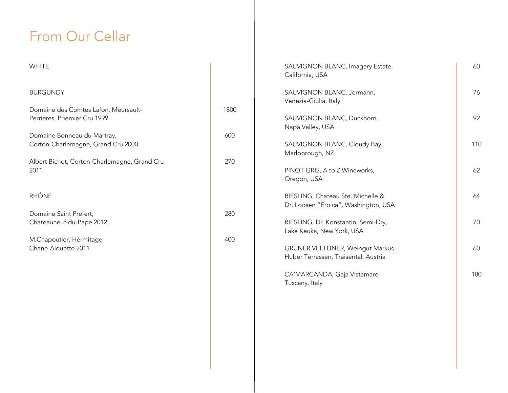## From Our Cellar

| <b>WHITE</b>                                                                                                                                                                              |                    | SAUVIGNON BLANC, Imagery Estate,<br>California, USA                                                                        |
|-------------------------------------------------------------------------------------------------------------------------------------------------------------------------------------------|--------------------|----------------------------------------------------------------------------------------------------------------------------|
| <b>BURGUNDY</b>                                                                                                                                                                           |                    | SAUVIGNON BLANC, Jermann,<br>Venezia-Giulia, Italy                                                                         |
| Domaine des Comtes Lafon, Meursault-<br>Perrieres, Priemier Cru 1999<br>Domaine Bonneau du Martray,<br>Corton-Charlemagne, Grand Cru 2000<br>Albert Bichot, Corton-Charlemagne, Grand Cru | 1800<br>600<br>270 | SAUVIGNON BLANC, Duckhorn,<br>Napa Valley, USA<br>SAUVIGNON BLANC, Cloudy Bay,<br>Marlborough, NZ                          |
| 2011                                                                                                                                                                                      |                    | PINOT GRIS, A to Z Wineworks,<br>Oregon, USA                                                                               |
| <b>RHÔNE</b>                                                                                                                                                                              |                    | RIESLING, Chateau Ste. Michelle &<br>Dr. Loosen "Eroica", Washington, USA                                                  |
| Domaine Saint Prefert,<br>Chateauneuf-du-Pape 2012                                                                                                                                        | 280                | RIESLING, Dr. Konstantin, Semi-Dry,<br>Lake Keuka, New York, USA                                                           |
| M.Chapoutier, Hermitage<br>Chane-Alouette 2011                                                                                                                                            | 400                | GRÜNER VELTLINER, Weingut Markus<br>Huber Terrassen, Traisental, Austria<br>CA'MARCANDA, Gaja Vistamare,<br>Tuscany, Italy |

6 0

7 6

9 2

1 1 0

6 2

6 4

7 0

6 0

1 8 0